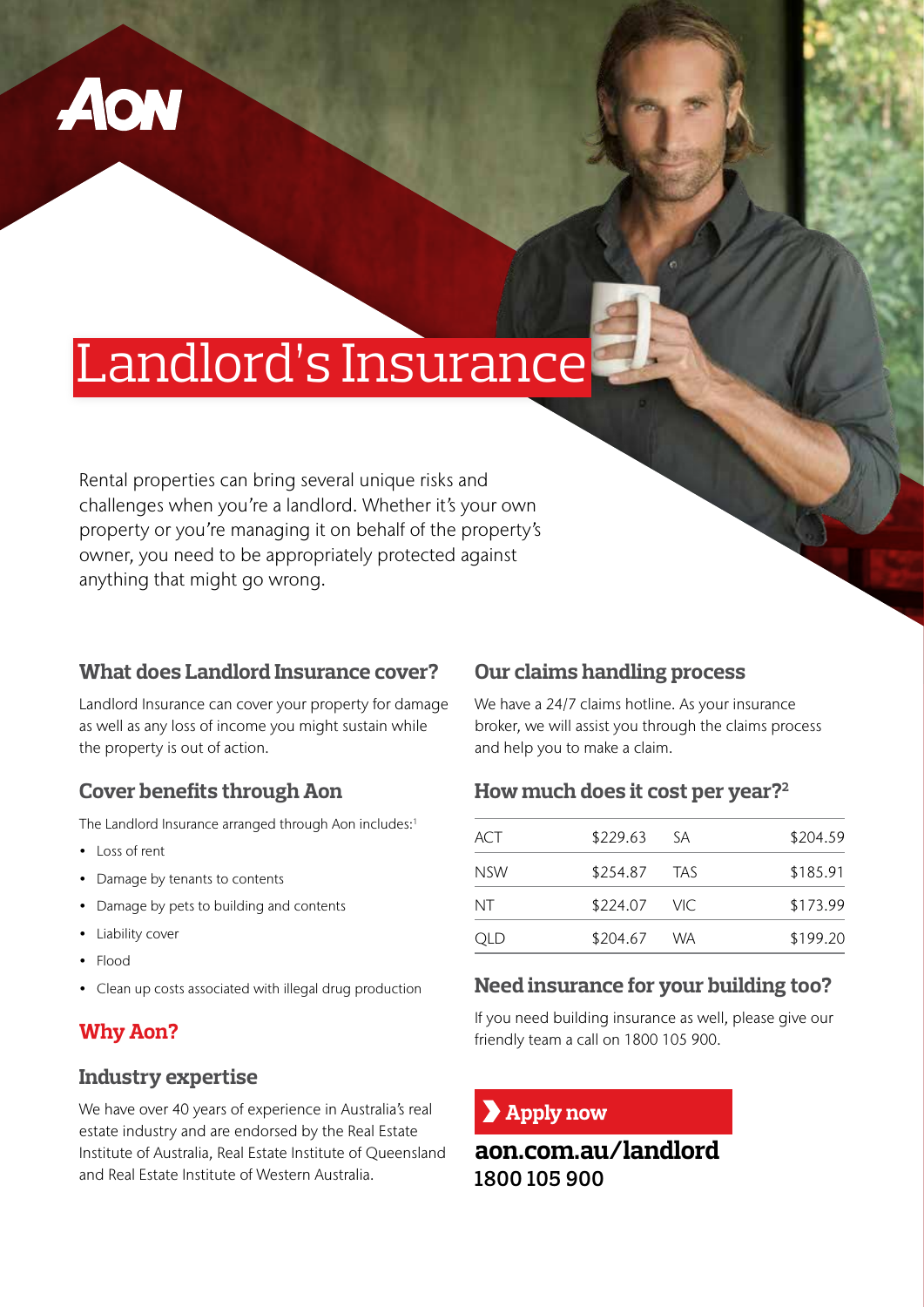

# Landlord's Insurance

Rental properties can bring several unique risks and challenges when you're a landlord. Whether it's your own property or you're managing it on behalf of the property's owner, you need to be appropriately protected against anything that might go wrong.

#### **What does Landlord Insurance cover?**

Landlord Insurance can cover your property for damage as well as any loss of income you might sustain while the property is out of action.

## **Cover benefits through Aon**

The Landlord Insurance arranged through Aon includes:<sup>1</sup>

- Loss of rent
- Damage by tenants to contents
- Damage by pets to building and contents
- Liability cover
- Flood
- Clean up costs associated with illegal drug production

# **Why Aon?**

#### **Industry expertise**

We have over 40 years of experience in Australia's real estate industry and are endorsed by the Real Estate Institute of Australia, Real Estate Institute of Queensland and Real Estate Institute of Western Australia.

#### **Our claims handling process**

We have a 24/7 claims hotline. As your insurance broker, we will assist you through the claims process and help you to make a claim.

#### **How much does it cost per year?2**

| ACT | \$229.63     | -SA | \$204.59 |
|-----|--------------|-----|----------|
| NSW | \$254.87 TAS |     | \$185.91 |
| ΝT  | \$224.07 VIC |     | \$173.99 |
| QLD | \$204.67 WA  |     | \$199.20 |

#### **Need insurance for your building too?**

If you need building insurance as well, please give our friendly team a call on 1800 105 900.

## **Apply now**

**aon.com.au/landlord 1800 105 900**